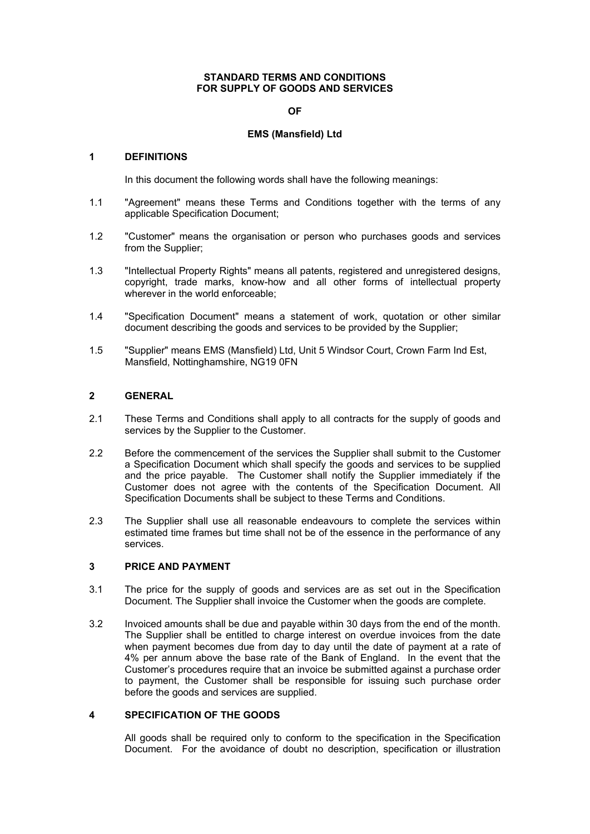### **STANDARD TERMS AND CONDITIONS FOR SUPPLY OF GOODS AND SERVICES**

### **OF**

## **EMS (Mansfield) Ltd**

### **1 DEFINITIONS**

In this document the following words shall have the following meanings:

- 1.1 "Agreement" means these Terms and Conditions together with the terms of any applicable Specification Document;
- 1.2 "Customer" means the organisation or person who purchases goods and services from the Supplier;
- 1.3 "Intellectual Property Rights" means all patents, registered and unregistered designs, copyright, trade marks, know-how and all other forms of intellectual property wherever in the world enforceable:
- 1.4 "Specification Document" means a statement of work, quotation or other similar document describing the goods and services to be provided by the Supplier;
- 1.5 "Supplier" means EMS (Mansfield) Ltd, Unit 5 Windsor Court, Crown Farm Ind Est, Mansfield, Nottinghamshire, NG19 0FN

# **2 GENERAL**

- 2.1 These Terms and Conditions shall apply to all contracts for the supply of goods and services by the Supplier to the Customer.
- 2.2 Before the commencement of the services the Supplier shall submit to the Customer a Specification Document which shall specify the goods and services to be supplied and the price payable. The Customer shall notify the Supplier immediately if the Customer does not agree with the contents of the Specification Document. All Specification Documents shall be subject to these Terms and Conditions.
- 2.3 The Supplier shall use all reasonable endeavours to complete the services within estimated time frames but time shall not be of the essence in the performance of any services.

### **3 PRICE AND PAYMENT**

- 3.1 The price for the supply of goods and services are as set out in the Specification Document. The Supplier shall invoice the Customer when the goods are complete.
- 3.2 Invoiced amounts shall be due and payable within 30 days from the end of the month. The Supplier shall be entitled to charge interest on overdue invoices from the date when payment becomes due from day to day until the date of payment at a rate of 4% per annum above the base rate of the Bank of England. In the event that the Customer's procedures require that an invoice be submitted against a purchase order to payment, the Customer shall be responsible for issuing such purchase order before the goods and services are supplied.

## **4 SPECIFICATION OF THE GOODS**

All goods shall be required only to conform to the specification in the Specification Document. For the avoidance of doubt no description, specification or illustration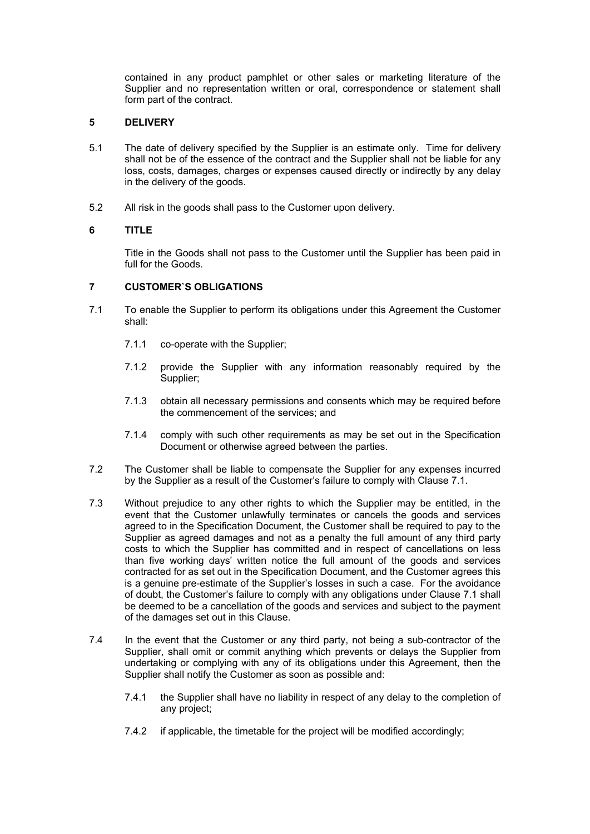contained in any product pamphlet or other sales or marketing literature of the Supplier and no representation written or oral, correspondence or statement shall form part of the contract.

## **5 DELIVERY**

- 5.1 The date of delivery specified by the Supplier is an estimate only. Time for delivery shall not be of the essence of the contract and the Supplier shall not be liable for any loss, costs, damages, charges or expenses caused directly or indirectly by any delay in the delivery of the goods.
- 5.2 All risk in the goods shall pass to the Customer upon delivery.

# **6 TITLE**

Title in the Goods shall not pass to the Customer until the Supplier has been paid in full for the Goods.

## **7 CUSTOMER`S OBLIGATIONS**

- 7.1 To enable the Supplier to perform its obligations under this Agreement the Customer shall:
	- 7.1.1 co-operate with the Supplier;
	- 7.1.2 provide the Supplier with any information reasonably required by the Supplier;
	- 7.1.3 obtain all necessary permissions and consents which may be required before the commencement of the services; and
	- 7.1.4 comply with such other requirements as may be set out in the Specification Document or otherwise agreed between the parties.
- 7.2 The Customer shall be liable to compensate the Supplier for any expenses incurred by the Supplier as a result of the Customer's failure to comply with Clause 7.1.
- 7.3 Without prejudice to any other rights to which the Supplier may be entitled, in the event that the Customer unlawfully terminates or cancels the goods and services agreed to in the Specification Document, the Customer shall be required to pay to the Supplier as agreed damages and not as a penalty the full amount of any third party costs to which the Supplier has committed and in respect of cancellations on less than five working days' written notice the full amount of the goods and services contracted for as set out in the Specification Document, and the Customer agrees this is a genuine pre-estimate of the Supplier's losses in such a case. For the avoidance of doubt, the Customer's failure to comply with any obligations under Clause 7.1 shall be deemed to be a cancellation of the goods and services and subject to the payment of the damages set out in this Clause.
- 7.4 In the event that the Customer or any third party, not being a sub-contractor of the Supplier, shall omit or commit anything which prevents or delays the Supplier from undertaking or complying with any of its obligations under this Agreement, then the Supplier shall notify the Customer as soon as possible and:
	- 7.4.1 the Supplier shall have no liability in respect of any delay to the completion of any project;
	- 7.4.2 if applicable, the timetable for the project will be modified accordingly;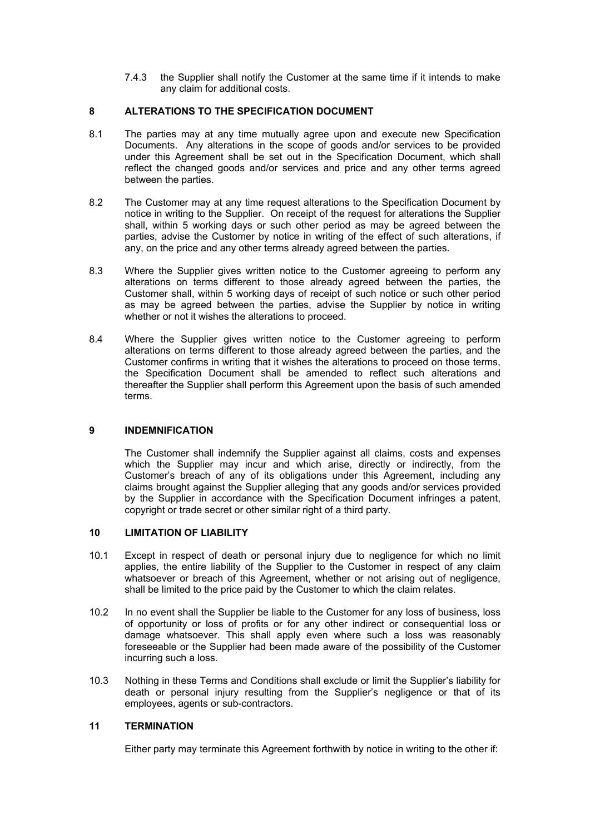7.4.3 the Supplier shall notify the Customer at the same time if it intends to make any claim for additional costs.

## **8 ALTERATIONS TO THE SPECIFICATION DOCUMENT**

- 8.1 The parties may at any time mutually agree upon and execute new Specification Documents. Any alterations in the scope of goods and/or services to be provided under this Agreement shall be set out in the Specification Document, which shall reflect the changed goods and/or services and price and any other terms agreed between the parties.
- 8.2 The Customer may at any time request alterations to the Specification Document by notice in writing to the Supplier. On receipt of the request for alterations the Supplier shall, within 5 working days or such other period as may be agreed between the parties, advise the Customer by notice in writing of the effect of such alterations, if any, on the price and any other terms already agreed between the parties.
- 8.3 Where the Supplier gives written notice to the Customer agreeing to perform any alterations on terms different to those already agreed between the parties, the Customer shall, within 5 working days of receipt of such notice or such other period as may be agreed between the parties, advise the Supplier by notice in writing whether or not it wishes the alterations to proceed.
- 8.4 Where the Supplier gives written notice to the Customer agreeing to perform alterations on terms different to those already agreed between the parties, and the Customer confirms in writing that it wishes the alterations to proceed on those terms, the Specification Document shall be amended to reflect such alterations and thereafter the Supplier shall perform this Agreement upon the basis of such amended terms.

# **9 INDEMNIFICATION**

The Customer shall indemnify the Supplier against all claims, costs and expenses which the Supplier may incur and which arise, directly or indirectly, from the Customer's breach of any of its obligations under this Agreement, including any claims brought against the Supplier alleging that any goods and/or services provided by the Supplier in accordance with the Specification Document infringes a patent, copyright or trade secret or other similar right of a third party.

## **10 LIMITATION OF LIABILITY**

- 10.1 Except in respect of death or personal injury due to negligence for which no limit applies, the entire liability of the Supplier to the Customer in respect of any claim whatsoever or breach of this Agreement, whether or not arising out of negligence, shall be limited to the price paid by the Customer to which the claim relates.
- 10.2 In no event shall the Supplier be liable to the Customer for any loss of business, loss of opportunity or loss of profits or for any other indirect or consequential loss or damage whatsoever. This shall apply even where such a loss was reasonably foreseeable or the Supplier had been made aware of the possibility of the Customer incurring such a loss.
- 10.3 Nothing in these Terms and Conditions shall exclude or limit the Supplier's liability for death or personal injury resulting from the Supplier's negligence or that of its employees, agents or sub-contractors.

# **11 TERMINATION**

Either party may terminate this Agreement forthwith by notice in writing to the other if: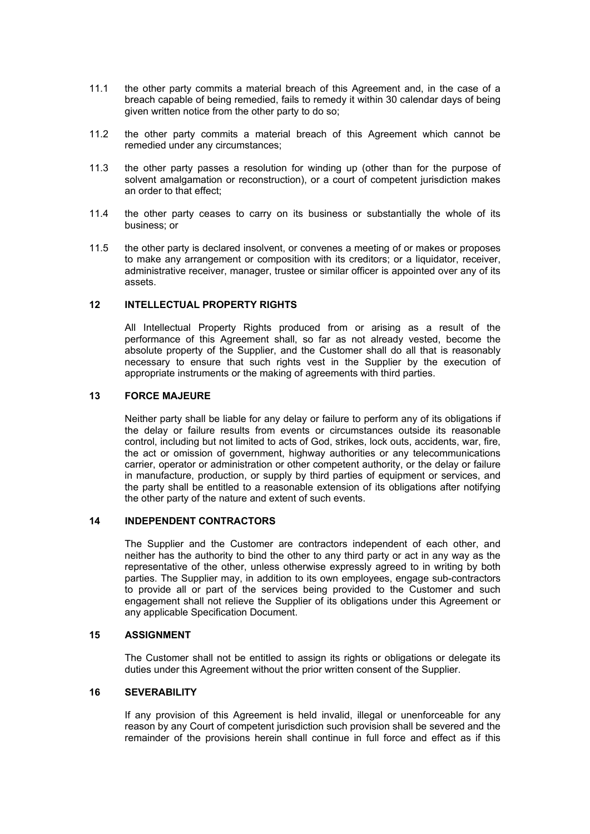- 11.1 the other party commits a material breach of this Agreement and, in the case of a breach capable of being remedied, fails to remedy it within 30 calendar days of being given written notice from the other party to do so;
- 11.2 the other party commits a material breach of this Agreement which cannot be remedied under any circumstances;
- 11.3 the other party passes a resolution for winding up (other than for the purpose of solvent amalgamation or reconstruction), or a court of competent jurisdiction makes an order to that effect;
- 11.4 the other party ceases to carry on its business or substantially the whole of its business; or
- 11.5 the other party is declared insolvent, or convenes a meeting of or makes or proposes to make any arrangement or composition with its creditors; or a liquidator, receiver, administrative receiver, manager, trustee or similar officer is appointed over any of its assets.

## **12 INTELLECTUAL PROPERTY RIGHTS**

All Intellectual Property Rights produced from or arising as a result of the performance of this Agreement shall, so far as not already vested, become the absolute property of the Supplier, and the Customer shall do all that is reasonably necessary to ensure that such rights vest in the Supplier by the execution of appropriate instruments or the making of agreements with third parties.

### **13 FORCE MAJEURE**

 Neither party shall be liable for any delay or failure to perform any of its obligations if the delay or failure results from events or circumstances outside its reasonable control, including but not limited to acts of God, strikes, lock outs, accidents, war, fire, the act or omission of government, highway authorities or any telecommunications carrier, operator or administration or other competent authority, or the delay or failure in manufacture, production, or supply by third parties of equipment or services, and the party shall be entitled to a reasonable extension of its obligations after notifying the other party of the nature and extent of such events.

## **14 INDEPENDENT CONTRACTORS**

 The Supplier and the Customer are contractors independent of each other, and neither has the authority to bind the other to any third party or act in any way as the representative of the other, unless otherwise expressly agreed to in writing by both parties. The Supplier may, in addition to its own employees, engage sub-contractors to provide all or part of the services being provided to the Customer and such engagement shall not relieve the Supplier of its obligations under this Agreement or any applicable Specification Document.

### **15 ASSIGNMENT**

The Customer shall not be entitled to assign its rights or obligations or delegate its duties under this Agreement without the prior written consent of the Supplier.

### **16 SEVERABILITY**

 If any provision of this Agreement is held invalid, illegal or unenforceable for any reason by any Court of competent jurisdiction such provision shall be severed and the remainder of the provisions herein shall continue in full force and effect as if this